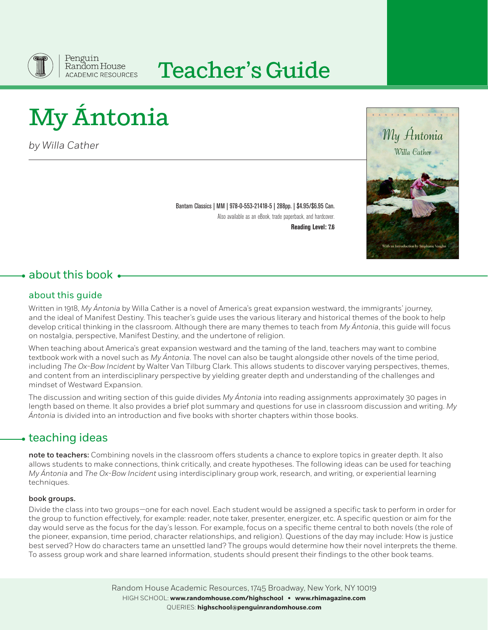

# Teacher's Guide

My Ántonia

*by Willa Cather*

Bantam Classics | MM | 978-0-553-21418-5 | 288pp. | \$4.95/\$6.95 Can. Also available as an eBook, trade paperback, and hardcover. **Reading Level: 7.6**



# • about this book •

## about this guide

Written in 1918, *My Ántonia* by Willa Cather is a novel of America's great expansion westward, the immigrants' journey, and the ideal of Manifest Destiny. This teacher's guide uses the various literary and historical themes of the book to help develop critical thinking in the classroom. Although there are many themes to teach from *My Ántonia*, this guide will focus on nostalgia, perspective, Manifest Destiny, and the undertone of religion.

When teaching about America's great expansion westward and the taming of the land, teachers may want to combine textbook work with a novel such as *My Ántonia*. The novel can also be taught alongside other novels of the time period, including *The Ox-Bow Incident* by Walter Van Tilburg Clark. This allows students to discover varying perspectives, themes, and content from an interdisciplinary perspective by yielding greater depth and understanding of the challenges and mindset of Westward Expansion.

The discussion and writing section of this guide divides *My Ántonia* into reading assignments approximately 30 pages in length based on theme. It also provides a brief plot summary and questions for use in classroom discussion and writing. *My Ántonia* is divided into an introduction and five books with shorter chapters within those books.

# teaching ideas

note to teachers: Combining novels in the classroom offers students a chance to explore topics in greater depth. It also allows students to make connections, think critically, and create hypotheses. The following ideas can be used for teaching *My Ántonia* and *The Ox-Bow Incident* using interdisciplinary group work, research, and writing, or experiential learning techniques.

### book groups.

Divide the class into two groups—one for each novel. Each student would be assigned a specific task to perform in order for the group to function effectively, for example: reader, note taker, presenter, energizer, etc. A specific question or aim for the day would serve as the focus for the day's lesson. For example, focus on a specific theme central to both novels (the role of the pioneer, expansion, time period, character relationships, and religion). Questions of the day may include: How is justice best served? How do characters tame an unsettled land? The groups would determine how their novel interprets the theme. To assess group work and share learned information, students should present their findings to the other book teams.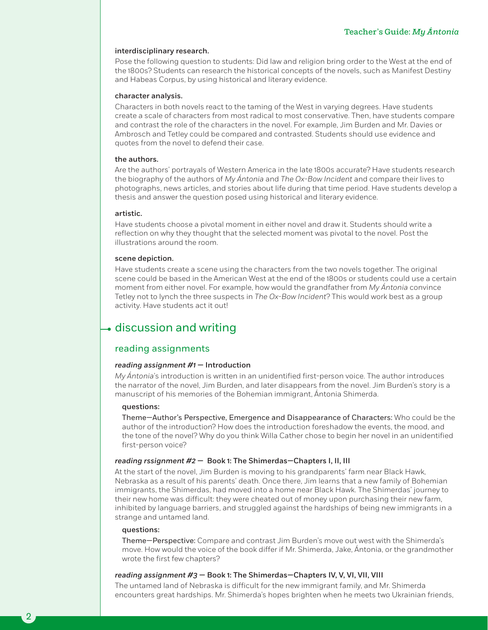#### interdisciplinary research.

Pose the following question to students: Did law and religion bring order to the West at the end of the 1800s? Students can research the historical concepts of the novels, such as Manifest Destiny and Habeas Corpus, by using historical and literary evidence.

#### character analysis.

Characters in both novels react to the taming of the West in varying degrees. Have students create a scale of characters from most radical to most conservative. Then, have students compare and contrast the role of the characters in the novel. For example, Jim Burden and Mr. Davies or Ambrosch and Tetley could be compared and contrasted. Students should use evidence and quotes from the novel to defend their case.

#### the authors.

Are the authors' portrayals of Western America in the late 1800s accurate? Have students research the biography of the authors of *My Ántonia* and *The Ox-Bow Incident* and compare their lives to photographs, news articles, and stories about life during that time period. Have students develop a thesis and answer the question posed using historical and literary evidence.

#### artistic.

Have students choose a pivotal moment in either novel and draw it. Students should write a reflection on why they thought that the selected moment was pivotal to the novel. Post the illustrations around the room.

#### scene depiction.

Have students create a scene using the characters from the two novels together. The original scene could be based in the American West at the end of the 1800s or students could use a certain moment from either novel. For example, how would the grandfather from *My Ántonia* convince Tetley not to lynch the three suspects in *The Ox-Bow Incident*? This would work best as a group activity. Have students act it out!

# $\rightarrow$  discussion and writing

#### reading assignments

#### *reading assignment #1* — Introduction

*My Ántonia*'s introduction is written in an unidentified first-person voice. The author introduces the narrator of the novel, Jim Burden, and later disappears from the novel. Jim Burden's story is a manuscript of his memories of the Bohemian immigrant, Ántonia Shimerda.

#### questions:

Theme—Author's Perspective, Emergence and Disappearance of Characters: Who could be the author of the introduction? How does the introduction foreshadow the events, the mood, and the tone of the novel? Why do you think Willa Cather chose to begin her novel in an unidentified first-person voice?

#### *reading rssignment #2* — Book 1: The Shimerdas—Chapters I, II, III

At the start of the novel, Jim Burden is moving to his grandparents' farm near Black Hawk, Nebraska as a result of his parents' death. Once there, Jim learns that a new family of Bohemian immigrants, the Shimerdas, had moved into a home near Black Hawk. The Shimerdas' journey to their new home was difficult: they were cheated out of money upon purchasing their new farm, inhibited by language barriers, and struggled against the hardships of being new immigrants in a strange and untamed land.

#### questions:

2

Theme—Perspective: Compare and contrast Jim Burden's move out west with the Shimerda's move. How would the voice of the book differ if Mr. Shimerda, Jake, Ántonia, or the grandmother wrote the first few chapters?

#### *reading assignment #3* — Book 1: The Shimerdas—Chapters IV, V, VI, VII, VIII

The untamed land of Nebraska is difficult for the new immigrant family, and Mr. Shimerda encounters great hardships. Mr. Shimerda's hopes brighten when he meets two Ukrainian friends,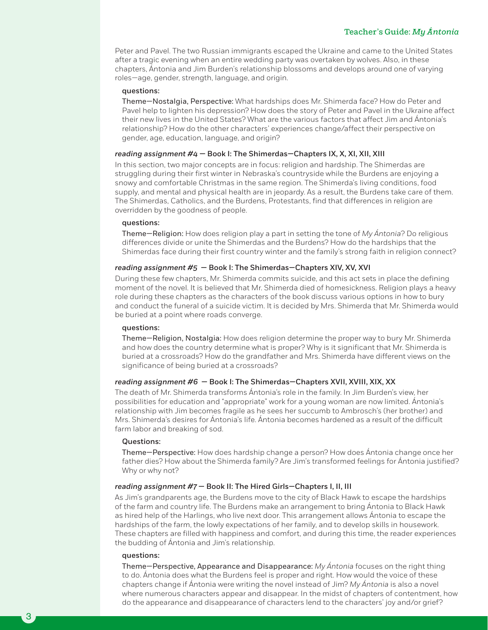#### Teacher's Guide: *My Ántonia*

Peter and Pavel. The two Russian immigrants escaped the Ukraine and came to the United States after a tragic evening when an entire wedding party was overtaken by wolves. Also, in these chapters, Ántonia and Jim Burden's relationship blossoms and develops around one of varying roles—age, gender, strength, language, and origin.

#### questions:

Theme—Nostalgia, Perspective: What hardships does Mr. Shimerda face? How do Peter and Pavel help to lighten his depression? How does the story of Peter and Pavel in the Ukraine affect their new lives in the United States? What are the various factors that affect Jim and Ántonia's relationship? How do the other characters' experiences change/affect their perspective on gender, age, education, language, and origin?

#### *reading assignment #4* — Book I: The Shimerdas—Chapters IX, X, XI, XII, XIII

In this section, two major concepts are in focus: religion and hardship. The Shimerdas are struggling during their first winter in Nebraska's countryside while the Burdens are enjoying a snowy and comfortable Christmas in the same region. The Shimerda's living conditions, food supply, and mental and physical health are in jeopardy. As a result, the Burdens take care of them. The Shimerdas, Catholics, and the Burdens, Protestants, find that differences in religion are overridden by the goodness of people.

#### questions:

Theme—Religion: How does religion play a part in setting the tone of *My Ántonia*? Do religious differences divide or unite the Shimerdas and the Burdens? How do the hardships that the Shimerdas face during their first country winter and the family's strong faith in religion connect?

#### *reading assignment #5* — Book I: The Shimerdas—Chapters XIV, XV, XVI

During these few chapters, Mr. Shimerda commits suicide, and this act sets in place the defining moment of the novel. It is believed that Mr. Shimerda died of homesickness. Religion plays a heavy role during these chapters as the characters of the book discuss various options in how to bury and conduct the funeral of a suicide victim. It is decided by Mrs. Shimerda that Mr. Shimerda would be buried at a point where roads converge.

#### questions:

Theme—Religion, Nostalgia: How does religion determine the proper way to bury Mr. Shimerda and how does the country determine what is proper? Why is it significant that Mr. Shimerda is buried at a crossroads? How do the grandfather and Mrs. Shimerda have different views on the significance of being buried at a crossroads?

#### *reading assignment #6* — Book I: The Shimerdas—Chapters XVII, XVIII, XIX, XX

The death of Mr. Shimerda transforms Ántonia's role in the family. In Jim Burden's view, her possibilities for education and "appropriate" work for a young woman are now limited. Ántonia's relationship with Jim becomes fragile as he sees her succumb to Ambrosch's (her brother) and Mrs. Shimerda's desires for Ántonia's life. Ántonia becomes hardened as a result of the difficult farm labor and breaking of sod.

#### Questions:

Theme—Perspective: How does hardship change a person? How does Ántonia change once her father dies? How about the Shimerda family? Are Jim's transformed feelings for Ántonia justified? Why or why not?

#### *reading assignment #7* — Book II: The Hired Girls—Chapters I, II, III

As Jim's grandparents age, the Burdens move to the city of Black Hawk to escape the hardships of the farm and country life. The Burdens make an arrangement to bring Ántonia to Black Hawk as hired help of the Harlings, who live next door. This arrangement allows Ántonia to escape the hardships of the farm, the lowly expectations of her family, and to develop skills in housework. These chapters are filled with happiness and comfort, and during this time, the reader experiences the budding of Ántonia and Jim's relationship.

#### questions:

3

Theme—Perspective, Appearance and Disappearance: *My Ántonia* focuses on the right thing to do. Ántonia does what the Burdens feel is proper and right. How would the voice of these chapters change if Ántonia were writing the novel instead of Jim? *My Ántonia* is also a novel where numerous characters appear and disappear. In the midst of chapters of contentment, how do the appearance and disappearance of characters lend to the characters' joy and/or grief?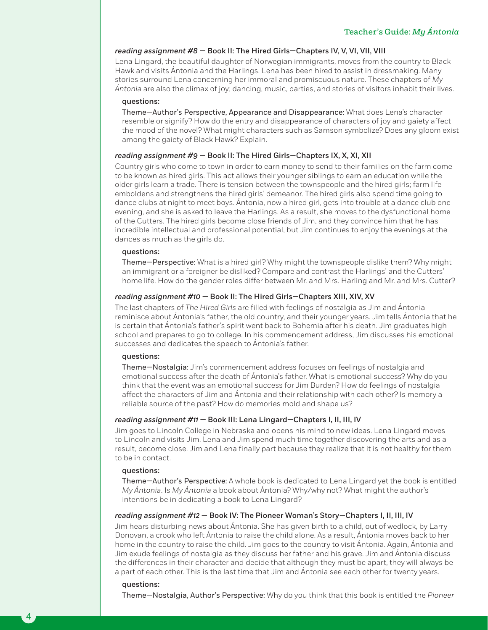#### *reading assignment #8* — Book II: The Hired Girls—Chapters IV, V, VI, VII, VIII

Lena Lingard, the beautiful daughter of Norwegian immigrants, moves from the country to Black Hawk and visits Ántonia and the Harlings. Lena has been hired to assist in dressmaking. Many stories surround Lena concerning her immoral and promiscuous nature. These chapters of *My Ántonia* are also the climax of joy; dancing, music, parties, and stories of visitors inhabit their lives.

#### questions:

Theme—Author's Perspective, Appearance and Disappearance: What does Lena's character resemble or signify? How do the entry and disappearance of characters of joy and gaiety affect the mood of the novel? What might characters such as Samson symbolize? Does any gloom exist among the gaiety of Black Hawk? Explain.

#### *reading assignment #9* — Book II: The Hired Girls—Chapters IX, X, XI, XII

Country girls who come to town in order to earn money to send to their families on the farm come to be known as hired girls. This act allows their younger siblings to earn an education while the older girls learn a trade. There is tension between the townspeople and the hired girls; farm life emboldens and strengthens the hired girls' demeanor. The hired girls also spend time going to dance clubs at night to meet boys. Ántonia, now a hired girl, gets into trouble at a dance club one evening, and she is asked to leave the Harlings. As a result, she moves to the dysfunctional home of the Cutters. The hired girls become close friends of Jim, and they convince him that he has incredible intellectual and professional potential, but Jim continues to enjoy the evenings at the dances as much as the girls do.

#### questions:

Theme-Perspective: What is a hired girl? Why might the townspeople dislike them? Why might an immigrant or a foreigner be disliked? Compare and contrast the Harlings' and the Cutters' home life. How do the gender roles differ between Mr. and Mrs. Harling and Mr. and Mrs. Cutter?

#### *reading assignment #10* — Book II: The Hired Girls—Chapters XIII, XIV, XV

The last chapters of *The Hired Girls* are filled with feelings of nostalgia as Jim and Ántonia reminisce about Ántonia's father, the old country, and their younger years. Jim tells Ántonia that he is certain that Ántonia's father's spirit went back to Bohemia after his death. Jim graduates high school and prepares to go to college. In his commencement address, Jim discusses his emotional successes and dedicates the speech to Ántonia's father.

#### questions:

Theme—Nostalgia: Jim's commencement address focuses on feelings of nostalgia and emotional success after the death of Ántonia's father. What is emotional success? Why do you think that the event was an emotional success for Jim Burden? How do feelings of nostalgia affect the characters of Jim and Ántonia and their relationship with each other? Is memory a reliable source of the past? How do memories mold and shape us?

#### *reading assignment #11* — Book III: Lena Lingard—Chapters I, II, III, IV

Jim goes to Lincoln College in Nebraska and opens his mind to new ideas. Lena Lingard moves to Lincoln and visits Jim. Lena and Jim spend much time together discovering the arts and as a result, become close. Jim and Lena finally part because they realize that it is not healthy for them to be in contact.

#### questions:

Theme—Author's Perspective: A whole book is dedicated to Lena Lingard yet the book is entitled *My Ántonia*. Is *My Ántonia* a book about Ántonia? Why/why not? What might the author's intentions be in dedicating a book to Lena Lingard?

#### *reading assignment #12* — Book IV: The Pioneer Woman's Story—Chapters I, II, III, IV

Jim hears disturbing news about Ántonia. She has given birth to a child, out of wedlock, by Larry Donovan, a crook who left Ántonia to raise the child alone. As a result, Ántonia moves back to her home in the country to raise the child. Jim goes to the country to visit Ántonia. Again, Ántonia and Jim exude feelings of nostalgia as they discuss her father and his grave. Jim and Ántonia discuss the differences in their character and decide that although they must be apart, they will always be a part of each other. This is the last time that Jim and Ántonia see each other for twenty years.

#### questions:

4

Theme—Nostalgia, Author's Perspective: Why do you think that this book is entitled the *Pioneer*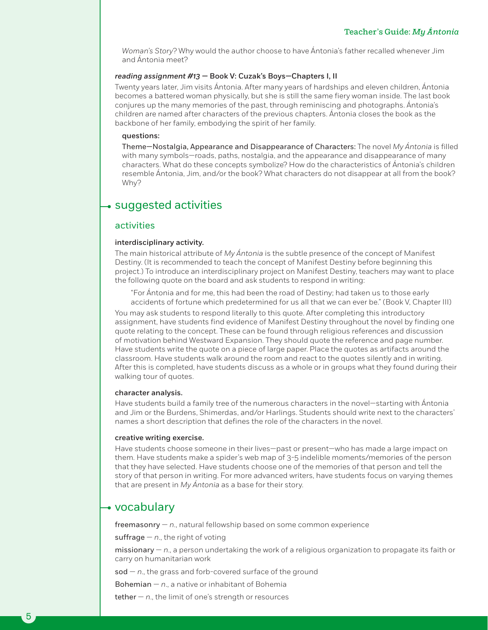*Woman's Story*? Why would the author choose to have Ántonia's father recalled whenever Jim and Ántonia meet?

#### *reading assignment #13* — Book V: Cuzak's Boys—Chapters I, II

Twenty years later, Jim visits Ántonia. After many years of hardships and eleven children, Ántonia becomes a battered woman physically, but she is still the same fiery woman inside. The last book conjures up the many memories of the past, through reminiscing and photographs. Ántonia's children are named after characters of the previous chapters. Ántonia closes the book as the backbone of her family, embodying the spirit of her family.

#### questions:

Theme—Nostalgia, Appearance and Disappearance of Characters: The novel *My Ántonia* is filled with many symbols—roads, paths, nostalgia, and the appearance and disappearance of many characters. What do these concepts symbolize? How do the characteristics of Ántonia's children resemble Ántonia, Jim, and/or the book? What characters do not disappear at all from the book? Why?

## $\bullet$  suggested activities

#### activities

#### interdisciplinary activity.

The main historical attribute of *My Ántonia* is the subtle presence of the concept of Manifest Destiny. (It is recommended to teach the concept of Manifest Destiny before beginning this project.) To introduce an interdisciplinary project on Manifest Destiny, teachers may want to place the following quote on the board and ask students to respond in writing:

"For Ántonia and for me, this had been the road of Destiny; had taken us to those early accidents of fortune which predetermined for us all that we can ever be." (Book V, Chapter III) You may ask students to respond literally to this quote. After completing this introductory assignment, have students find evidence of Manifest Destiny throughout the novel by finding one quote relating to the concept. These can be found through religious references and discussion of motivation behind Westward Expansion. They should quote the reference and page number. Have students write the quote on a piece of large paper. Place the quotes as artifacts around the classroom. Have students walk around the room and react to the quotes silently and in writing. After this is completed, have students discuss as a whole or in groups what they found during their walking tour of quotes.

#### character analysis.

Have students build a family tree of the numerous characters in the novel—starting with Ántonia and Jim or the Burdens, Shimerdas, and/or Harlings. Students should write next to the characters' names a short description that defines the role of the characters in the novel.

#### creative writing exercise.

Have students choose someone in their lives—past or present—who has made a large impact on them. Have students make a spider's web map of 3-5 indelible moments/memories of the person that they have selected. Have students choose one of the memories of that person and tell the story of that person in writing. For more advanced writers, have students focus on varying themes that are present in *My Ántonia* as a base for their story.

## vocabulary

freemasonry — *n*., natural fellowship based on some common experience

suffrage  $- n$ , the right of voting

missionary — *n*., a person undertaking the work of a religious organization to propagate its faith or carry on humanitarian work

sod — *n*., the grass and forb-covered surface of the ground

Bohemian — *n*., a native or inhabitant of Bohemia

tether  $- n$ , the limit of one's strength or resources